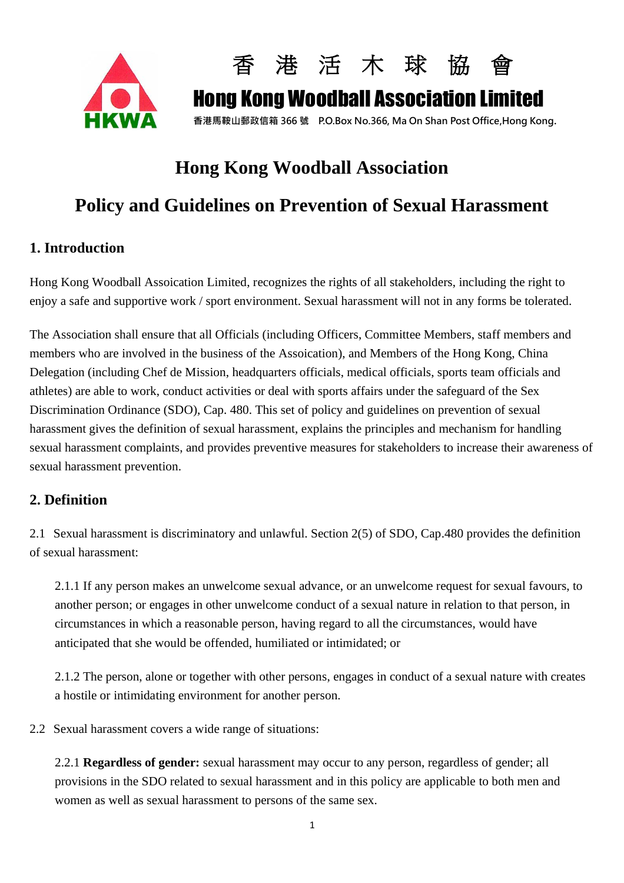



## **Hong Kong Woodball Association**

## **Policy and Guidelines on Prevention of Sexual Harassment**

### **1. Introduction**

Hong Kong Woodball Assoication Limited, recognizes the rights of all stakeholders, including the right to enjoy a safe and supportive work / sport environment. Sexual harassment will not in any forms be tolerated.

The Association shall ensure that all Officials (including Officers, Committee Members, staff members and members who are involved in the business of the Assoication), and Members of the Hong Kong, China Delegation (including Chef de Mission, headquarters officials, medical officials, sports team officials and athletes) are able to work, conduct activities or deal with sports affairs under the safeguard of the Sex Discrimination Ordinance (SDO), Cap. 480. This set of policy and guidelines on prevention of sexual harassment gives the definition of sexual harassment, explains the principles and mechanism for handling sexual harassment complaints, and provides preventive measures for stakeholders to increase their awareness of sexual harassment prevention.

#### **2. Definition**

2.1 Sexual harassment is discriminatory and unlawful. Section 2(5) of SDO, Cap.480 provides the definition of sexual harassment:

2.1.1 If any person makes an unwelcome sexual advance, or an unwelcome request for sexual favours, to another person; or engages in other unwelcome conduct of a sexual nature in relation to that person, in circumstances in which a reasonable person, having regard to all the circumstances, would have anticipated that she would be offended, humiliated or intimidated; or

2.1.2 The person, alone or together with other persons, engages in conduct of a sexual nature with creates a hostile or intimidating environment for another person.

2.2 Sexual harassment covers a wide range of situations:

2.2.1 **Regardless of gender:** sexual harassment may occur to any person, regardless of gender; all provisions in the SDO related to sexual harassment and in this policy are applicable to both men and women as well as sexual harassment to persons of the same sex.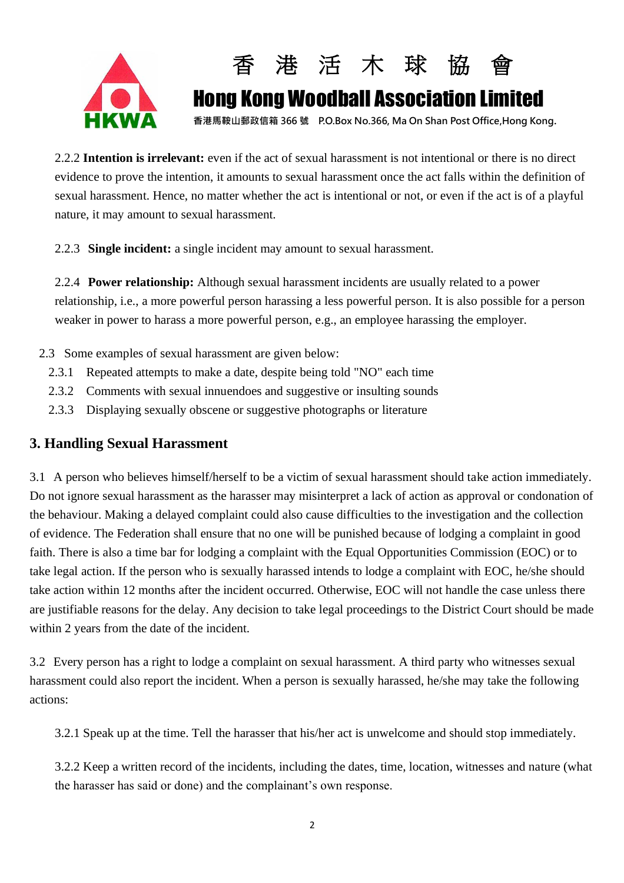



2.2.2 **Intention is irrelevant:** even if the act of sexual harassment is not intentional or there is no direct evidence to prove the intention, it amounts to sexual harassment once the act falls within the definition of sexual harassment. Hence, no matter whether the act is intentional or not, or even if the act is of a playful nature, it may amount to sexual harassment.

2.2.3 **Single incident:** a single incident may amount to sexual harassment.

2.2.4 **Power relationship:** Although sexual harassment incidents are usually related to a power relationship, i.e., a more powerful person harassing a less powerful person. It is also possible for a person weaker in power to harass a more powerful person, e.g., an employee harassing the employer.

- 2.3 Some examples of sexual harassment are given below:
	- 2.3.1 Repeated attempts to make a date, despite being told "NO" each time
	- 2.3.2 Comments with sexual innuendoes and suggestive or insulting sounds
	- 2.3.3 Displaying sexually obscene or suggestive photographs or literature

#### **3. Handling Sexual Harassment**

3.1 A person who believes himself/herself to be a victim of sexual harassment should take action immediately. Do not ignore sexual harassment as the harasser may misinterpret a lack of action as approval or condonation of the behaviour. Making a delayed complaint could also cause difficulties to the investigation and the collection of evidence. The Federation shall ensure that no one will be punished because of lodging a complaint in good faith. There is also a time bar for lodging a complaint with the Equal Opportunities Commission (EOC) or to take legal action. If the person who is sexually harassed intends to lodge a complaint with EOC, he/she should take action within 12 months after the incident occurred. Otherwise, EOC will not handle the case unless there are justifiable reasons for the delay. Any decision to take legal proceedings to the District Court should be made within 2 years from the date of the incident.

3.2 Every person has a right to lodge a complaint on sexual harassment. A third party who witnesses sexual harassment could also report the incident. When a person is sexually harassed, he/she may take the following actions:

3.2.1 Speak up at the time. Tell the harasser that his/her act is unwelcome and should stop immediately.

3.2.2 Keep a written record of the incidents, including the dates, time, location, witnesses and nature (what the harasser has said or done) and the complainant's own response.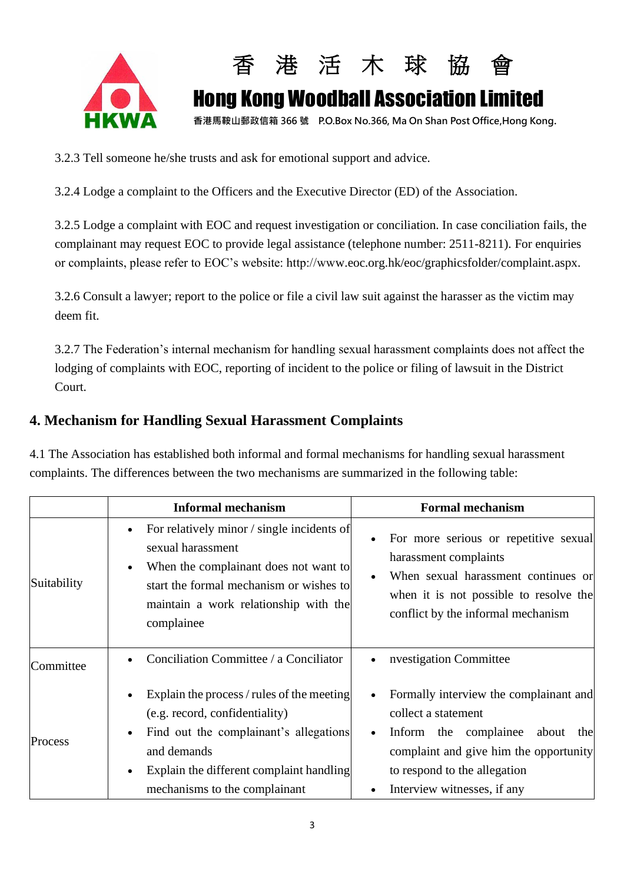



3.2.3 Tell someone he/she trusts and ask for emotional support and advice.

3.2.4 Lodge a complaint to the Officers and the Executive Director (ED) of the Association.

3.2.5 Lodge a complaint with EOC and request investigation or conciliation. In case conciliation fails, the complainant may request EOC to provide legal assistance (telephone number: 2511-8211). For enquiries or complaints, please refer to EOC's website: http://www.eoc.org.hk/eoc/graphicsfolder/complaint.aspx.

3.2.6 Consult a lawyer; report to the police or file a civil law suit against the harasser as the victim may deem fit.

3.2.7 The Federation's internal mechanism for handling sexual harassment complaints does not affect the lodging of complaints with EOC, reporting of incident to the police or filing of lawsuit in the District Court.

#### **4. Mechanism for Handling Sexual Harassment Complaints**

4.1 The Association has established both informal and formal mechanisms for handling sexual harassment complaints. The differences between the two mechanisms are summarized in the following table:

|             | <b>Informal mechanism</b>                                                                                                                                                                                                                                 | <b>Formal mechanism</b>                                                                                                                                                                                                                   |
|-------------|-----------------------------------------------------------------------------------------------------------------------------------------------------------------------------------------------------------------------------------------------------------|-------------------------------------------------------------------------------------------------------------------------------------------------------------------------------------------------------------------------------------------|
| Suitability | For relatively minor / single incidents of<br>$\bullet$<br>sexual harassment<br>When the complainant does not want to<br>$\bullet$<br>start the formal mechanism or wishes to<br>maintain a work relationship with the<br>complainee                      | For more serious or repetitive sexual<br>$\bullet$<br>harassment complaints<br>When sexual harassment continues or<br>$\bullet$<br>when it is not possible to resolve the<br>conflict by the informal mechanism                           |
| Committee   | Conciliation Committee / a Conciliator                                                                                                                                                                                                                    | nvestigation Committee<br>$\bullet$                                                                                                                                                                                                       |
| Process     | Explain the process / rules of the meeting<br>$\bullet$<br>(e.g. record, confidentiality)<br>Find out the complainant's allegations<br>$\bullet$<br>and demands<br>Explain the different complaint handling<br>$\bullet$<br>mechanisms to the complainant | Formally interview the complainant and<br>$\bullet$<br>collect a statement<br>Inform the complainee<br>about<br>the<br>$\bullet$<br>complaint and give him the opportunity<br>to respond to the allegation<br>Interview witnesses, if any |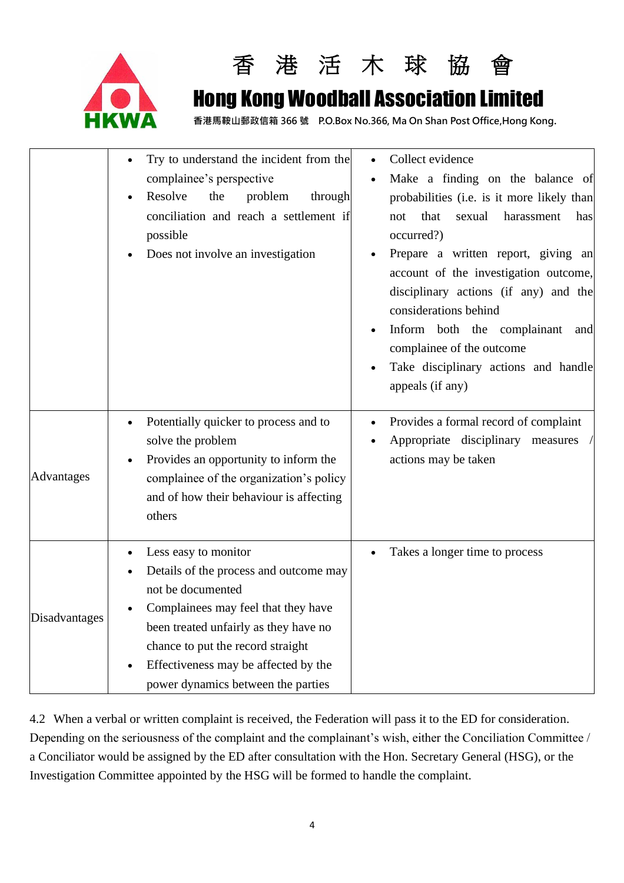



## Hong Kong Woodball Association Limited

**香港馬鞍山郵政信箱 366 號 P.O.Box No.366, Ma On Shan Post Office,Hong Kong.**

|                   | Try to understand the incident from the<br>complainee's perspective<br>Resolve<br>the<br>problem<br>through<br>conciliation and reach a settlement if<br>possible<br>Does not involve an investigation                                                                                              | Collect evidence<br>Make a finding on the balance of<br>probabilities (i.e. is it more likely than<br>harassment<br>that<br>sexual<br>has<br>not<br>occurred?)<br>Prepare a written report, giving an<br>account of the investigation outcome,<br>disciplinary actions (if any) and the<br>considerations behind<br>Inform both the complainant<br>and<br>complainee of the outcome<br>Take disciplinary actions and handle<br>appeals (if any) |
|-------------------|-----------------------------------------------------------------------------------------------------------------------------------------------------------------------------------------------------------------------------------------------------------------------------------------------------|-------------------------------------------------------------------------------------------------------------------------------------------------------------------------------------------------------------------------------------------------------------------------------------------------------------------------------------------------------------------------------------------------------------------------------------------------|
| <b>Advantages</b> | Potentially quicker to process and to<br>solve the problem<br>Provides an opportunity to inform the<br>complainee of the organization's policy<br>and of how their behaviour is affecting<br>others                                                                                                 | Provides a formal record of complaint<br>Appropriate disciplinary measures<br>actions may be taken                                                                                                                                                                                                                                                                                                                                              |
| Disadvantages     | Less easy to monitor<br>$\bullet$<br>Details of the process and outcome may<br>not be documented<br>Complainees may feel that they have<br>been treated unfairly as they have no<br>chance to put the record straight<br>Effectiveness may be affected by the<br>power dynamics between the parties | Takes a longer time to process                                                                                                                                                                                                                                                                                                                                                                                                                  |

4.2 When a verbal or written complaint is received, the Federation will pass it to the ED for consideration. Depending on the seriousness of the complaint and the complainant's wish, either the Conciliation Committee / a Conciliator would be assigned by the ED after consultation with the Hon. Secretary General (HSG), or the Investigation Committee appointed by the HSG will be formed to handle the complaint.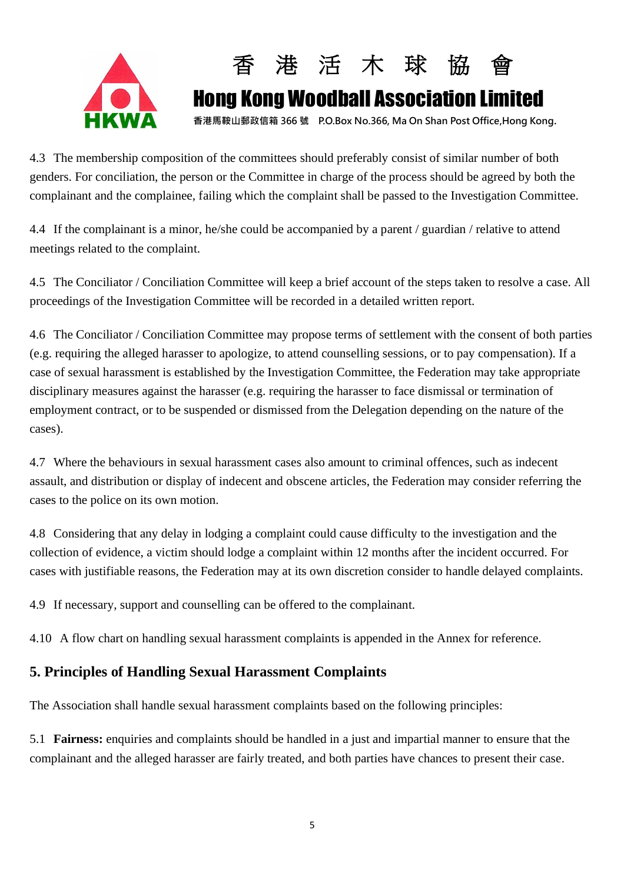



4.3 The membership composition of the committees should preferably consist of similar number of both genders. For conciliation, the person or the Committee in charge of the process should be agreed by both the complainant and the complainee, failing which the complaint shall be passed to the Investigation Committee.

4.4 If the complainant is a minor, he/she could be accompanied by a parent / guardian / relative to attend meetings related to the complaint.

4.5 The Conciliator / Conciliation Committee will keep a brief account of the steps taken to resolve a case. All proceedings of the Investigation Committee will be recorded in a detailed written report.

4.6 The Conciliator / Conciliation Committee may propose terms of settlement with the consent of both parties (e.g. requiring the alleged harasser to apologize, to attend counselling sessions, or to pay compensation). If a case of sexual harassment is established by the Investigation Committee, the Federation may take appropriate disciplinary measures against the harasser (e.g. requiring the harasser to face dismissal or termination of employment contract, or to be suspended or dismissed from the Delegation depending on the nature of the cases).

4.7 Where the behaviours in sexual harassment cases also amount to criminal offences, such as indecent assault, and distribution or display of indecent and obscene articles, the Federation may consider referring the cases to the police on its own motion.

4.8 Considering that any delay in lodging a complaint could cause difficulty to the investigation and the collection of evidence, a victim should lodge a complaint within 12 months after the incident occurred. For cases with justifiable reasons, the Federation may at its own discretion consider to handle delayed complaints.

4.9 If necessary, support and counselling can be offered to the complainant.

4.10 A flow chart on handling sexual harassment complaints is appended in the Annex for reference.

#### **5. Principles of Handling Sexual Harassment Complaints**

The Association shall handle sexual harassment complaints based on the following principles:

5.1 **Fairness:** enquiries and complaints should be handled in a just and impartial manner to ensure that the complainant and the alleged harasser are fairly treated, and both parties have chances to present their case.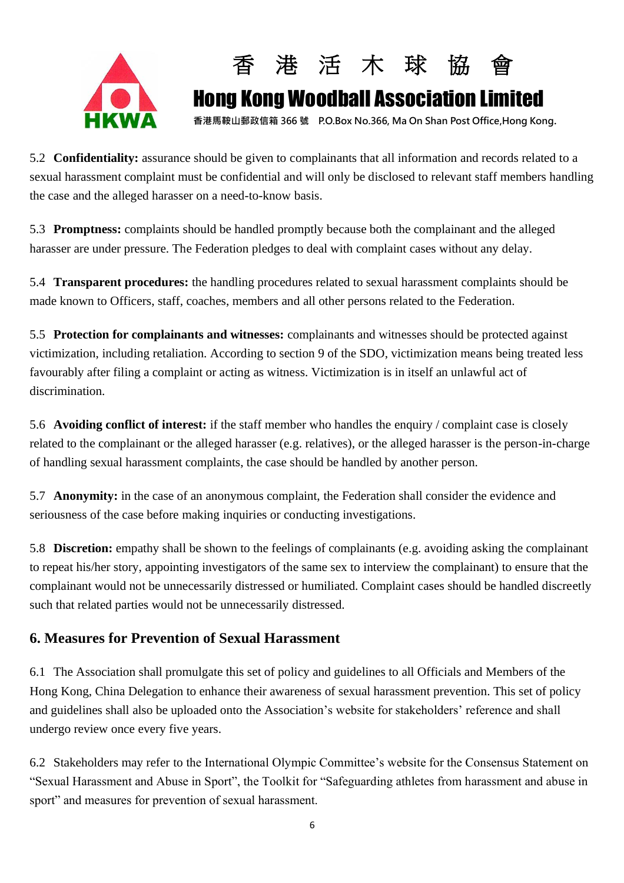



5.2 **Confidentiality:** assurance should be given to complainants that all information and records related to a sexual harassment complaint must be confidential and will only be disclosed to relevant staff members handling the case and the alleged harasser on a need-to-know basis.

5.3 **Promptness:** complaints should be handled promptly because both the complainant and the alleged harasser are under pressure. The Federation pledges to deal with complaint cases without any delay.

5.4 **Transparent procedures:** the handling procedures related to sexual harassment complaints should be made known to Officers, staff, coaches, members and all other persons related to the Federation.

5.5 **Protection for complainants and witnesses:** complainants and witnesses should be protected against victimization, including retaliation. According to section 9 of the SDO, victimization means being treated less favourably after filing a complaint or acting as witness. Victimization is in itself an unlawful act of discrimination.

5.6 **Avoiding conflict of interest:** if the staff member who handles the enquiry / complaint case is closely related to the complainant or the alleged harasser (e.g. relatives), or the alleged harasser is the person-in-charge of handling sexual harassment complaints, the case should be handled by another person.

5.7 **Anonymity:** in the case of an anonymous complaint, the Federation shall consider the evidence and seriousness of the case before making inquiries or conducting investigations.

5.8 **Discretion:** empathy shall be shown to the feelings of complainants (e.g. avoiding asking the complainant to repeat his/her story, appointing investigators of the same sex to interview the complainant) to ensure that the complainant would not be unnecessarily distressed or humiliated. Complaint cases should be handled discreetly such that related parties would not be unnecessarily distressed.

#### **6. Measures for Prevention of Sexual Harassment**

6.1 The Association shall promulgate this set of policy and guidelines to all Officials and Members of the Hong Kong, China Delegation to enhance their awareness of sexual harassment prevention. This set of policy and guidelines shall also be uploaded onto the Association's website for stakeholders' reference and shall undergo review once every five years.

6.2 Stakeholders may refer to the International Olympic Committee's website for the Consensus Statement on "Sexual Harassment and Abuse in Sport", the Toolkit for "Safeguarding athletes from harassment and abuse in sport" and measures for prevention of sexual harassment.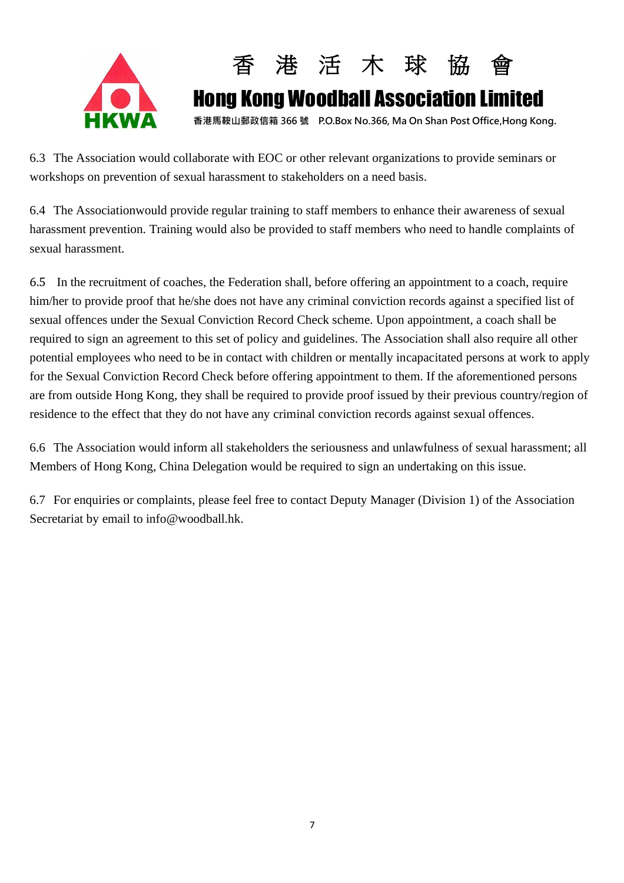



6.3 The Association would collaborate with EOC or other relevant organizations to provide seminars or workshops on prevention of sexual harassment to stakeholders on a need basis.

6.4 The Associationwould provide regular training to staff members to enhance their awareness of sexual harassment prevention. Training would also be provided to staff members who need to handle complaints of sexual harassment.

6.5 In the recruitment of coaches, the Federation shall, before offering an appointment to a coach, require him/her to provide proof that he/she does not have any criminal conviction records against a specified list of sexual offences under the Sexual Conviction Record Check scheme. Upon appointment, a coach shall be required to sign an agreement to this set of policy and guidelines. The Association shall also require all other potential employees who need to be in contact with children or mentally incapacitated persons at work to apply for the Sexual Conviction Record Check before offering appointment to them. If the aforementioned persons are from outside Hong Kong, they shall be required to provide proof issued by their previous country/region of residence to the effect that they do not have any criminal conviction records against sexual offences.

6.6 The Association would inform all stakeholders the seriousness and unlawfulness of sexual harassment; all Members of Hong Kong, China Delegation would be required to sign an undertaking on this issue.

6.7 For enquiries or complaints, please feel free to contact Deputy Manager (Division 1) of the Association Secretariat by email to info@woodball.hk.